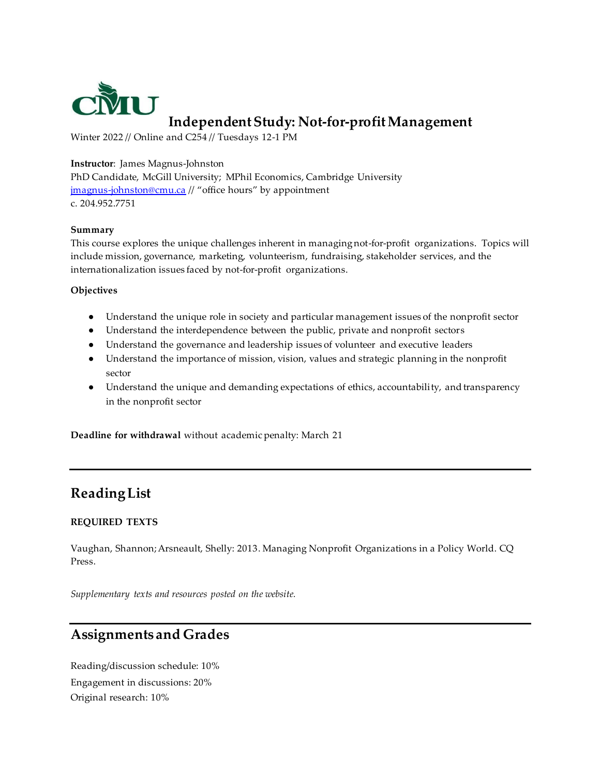

# **Independent Study: Not-for-profit Management**

Winter 2022 // Online and C254 // Tuesdays 12-1 PM

#### **Instructor**: James Magnus-Johnston

PhD Candidate, McGill University; MPhil Economics, Cambridge University jmagnus-johnston@cmu.ca // "office hours" by appointment c. 204.952.7751

#### **Summary**

This course explores the unique challenges inherent in managing not-for-profit organizations. Topics will include mission, governance, marketing, volunteerism, fundraising, stakeholder services, and the internationalization issues faced by not-for-profit organizations.

#### **Objectives**

- Understand the unique role in society and particular management issues of the nonprofit sector
- Understand the interdependence between the public, private and nonprofit sectors
- Understand the governance and leadership issues of volunteer and executive leaders
- Understand the importance of mission, vision, values and strategic planning in the nonprofit sector
- Understand the unique and demanding expectations of ethics, accountability, and transparency in the nonprofit sector

**Deadline for withdrawal** without academic penalty: March 21

## **Reading List**

#### **REQUIRED TEXTS**

Vaughan, Shannon; Arsneault, Shelly: 2013. Managing Nonprofit Organizations in a Policy World. CQ Press.

*Supplementary texts and resources posted on the website.*

### **Assignments and Grades**

Reading/discussion schedule: 10% Engagement in discussions: 20% Original research: 10%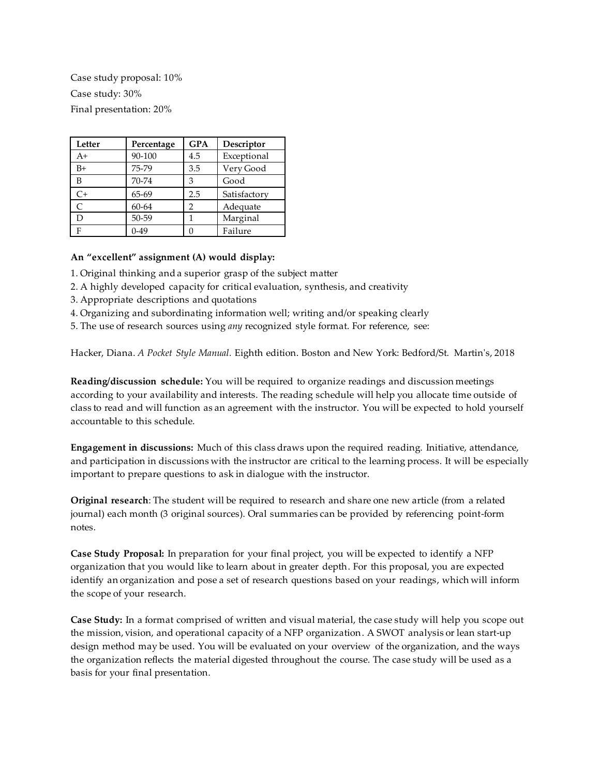Case study proposal: 10% Case study: 30% Final presentation: 20%

| Letter | Percentage | <b>GPA</b> | Descriptor   |
|--------|------------|------------|--------------|
| $A+$   | 90-100     | 4.5        | Exceptional  |
| $B+$   | 75-79      | 3.5        | Very Good    |
| В      | 70-74      | 3          | Good         |
| $C+$   | 65-69      | 2.5        | Satisfactory |
| C      | 60-64      | 2          | Adequate     |
| D      | 50-59      |            | Marginal     |
| F      | $0-49$     |            | Failure      |

#### **An "excellent" assignment (A) would display:**

- 1. Original thinking and a superior grasp of the subject matter
- 2. A highly developed capacity for critical evaluation, synthesis, and creativity
- 3. Appropriate descriptions and quotations
- 4. Organizing and subordinating information well; writing and/or speaking clearly
- 5. The use of research sources using *any* recognized style format. For reference, see:

Hacker, Diana. *A Pocket Style Manual.* Eighth edition. Boston and New York: Bedford/St. Martin's, 2018

**Reading/discussion schedule:** You will be required to organize readings and discussion meetings according to your availability and interests. The reading schedule will help you allocate time outside of class to read and will function as an agreement with the instructor. You will be expected to hold yourself accountable to this schedule.

**Engagement in discussions:** Much of this class draws upon the required reading. Initiative, attendance, and participation in discussions with the instructor are critical to the learning process. It will be especially important to prepare questions to ask in dialogue with the instructor.

**Original research**: The student will be required to research and share one new article (from a related journal) each month (3 original sources). Oral summaries can be provided by referencing point-form notes.

**Case Study Proposal:** In preparation for your final project, you will be expected to identify a NFP organization that you would like to learn about in greater depth. For this proposal, you are expected identify an organization and pose a set of research questions based on your readings, which will inform the scope of your research.

**Case Study:** In a format comprised of written and visual material, the case study will help you scope out the mission, vision, and operational capacity of a NFP organization. A SWOT analysis or lean start-up design method may be used. You will be evaluated on your overview of the organization, and the ways the organization reflects the material digested throughout the course. The case study will be used as a basis for your final presentation.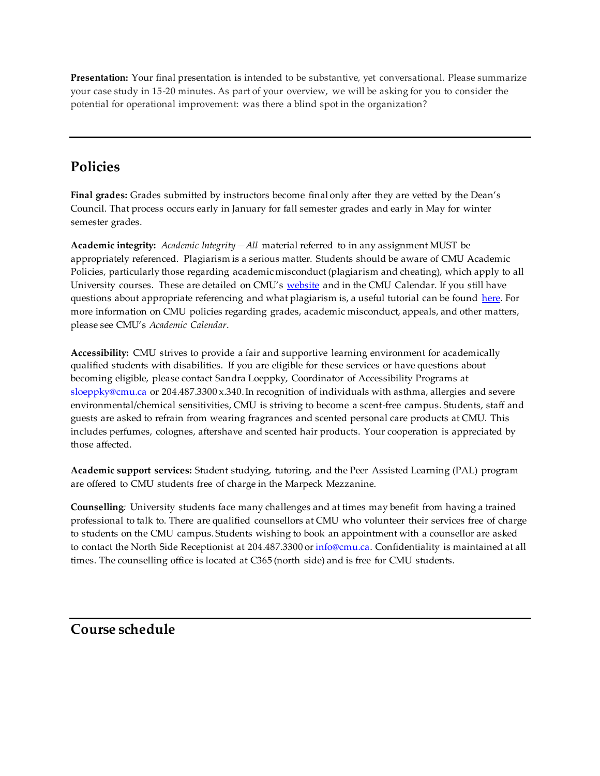**Presentation:** Your final presentation is intended to be substantive, yet conversational. Please summarize your case study in 15-20 minutes. As part of your overview, we will be asking for you to consider the potential for operational improvement: was there a blind spot in the organization?

# **Policies**

**Final grades:** Grades submitted by instructors become final only after they are vetted by the Dean's Council. That process occurs early in January for fall semester grades and early in May for winter semester grades.

**Academic integrity:** *Academic Integrity—All* material referred to in any assignment MUST be appropriately referenced. Plagiarism is a serious matter. Students should be aware of CMU Academic Policies, particularly those regarding academic misconduct (plagiarism and cheating), which apply to all University courses. These are detailed on CMU's website and in the CMU Calendar. If you still have questions about appropriate referencing and what plagiarism is, a useful tutorial can be found here. For more information on CMU policies regarding grades, academic misconduct, appeals, and other matters, please see CMU's *Academic Calendar*.

**Accessibility:** CMU strives to provide a fair and supportive learning environment for academically qualified students with disabilities. If you are eligible for these services or have questions about becoming eligible, please contact Sandra Loeppky, Coordinator of Accessibility Programs at sloeppky@cmu.ca or 204.487.3300 x.340. In recognition of individuals with asthma, allergies and severe environmental/chemical sensitivities, CMU is striving to become a scent-free campus. Students, staff and guests are asked to refrain from wearing fragrances and scented personal care products at CMU. This includes perfumes, colognes, aftershave and scented hair products. Your cooperation is appreciated by those affected.

**Academic support services:** Student studying, tutoring, and the Peer Assisted Learning (PAL) program are offered to CMU students free of charge in the Marpeck Mezzanine.

**Counselling***:* University students face many challenges and at times may benefit from having a trained professional to talk to. There are qualified counsellors at CMU who volunteer their services free of charge to students on the CMU campus. Students wishing to book an appointment with a counsellor are asked to contact the North Side Receptionist at 204.487.3300 or info@cmu.ca. Confidentiality is maintained at all times. The counselling office is located at C365 (north side) and is free for CMU students.

## **Course schedule**